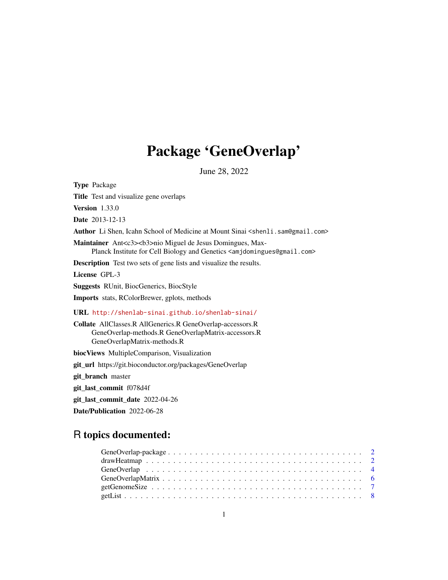# Package 'GeneOverlap'

June 28, 2022

Type Package Title Test and visualize gene overlaps Version 1.33.0 Date 2013-12-13 Author Li Shen, Icahn School of Medicine at Mount Sinai <shenli.sam@gmail.com> Maintainer Ant<c3><b3>nio Miguel de Jesus Domingues, Max-Planck Institute for Cell Biology and Genetics <amjdomingues@gmail.com> Description Test two sets of gene lists and visualize the results. License GPL-3 Suggests RUnit, BiocGenerics, BiocStyle Imports stats, RColorBrewer, gplots, methods URL <http://shenlab-sinai.github.io/shenlab-sinai/> Collate AllClasses.R AllGenerics.R GeneOverlap-accessors.R GeneOverlap-methods.R GeneOverlapMatrix-accessors.R GeneOverlapMatrix-methods.R biocViews MultipleComparison, Visualization git\_url https://git.bioconductor.org/packages/GeneOverlap git\_branch master git\_last\_commit f078d4f git\_last\_commit\_date 2022-04-26

Date/Publication 2022-06-28

# R topics documented: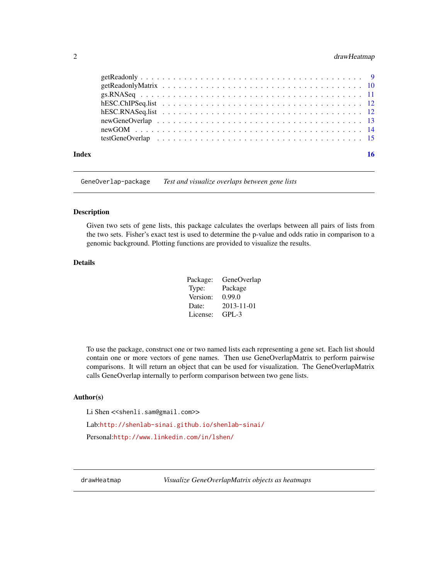# <span id="page-1-0"></span>2 drawHeatmap drawHeatmap drawHeatmap drawHeatmap drawHeatmap drawHeatmap drawHeatmap

| Index | 16 |
|-------|----|

GeneOverlap-package *Test and visualize overlaps between gene lists*

#### Description

Given two sets of gene lists, this package calculates the overlaps between all pairs of lists from the two sets. Fisher's exact test is used to determine the p-value and odds ratio in comparison to a genomic background. Plotting functions are provided to visualize the results.

### Details

| Package: | GeneOverlap |
|----------|-------------|
| Type:    | Package     |
| Version: | 0.99.0      |
| Date:    | 2013-11-01  |
| License: | $GPI - 3$   |

To use the package, construct one or two named lists each representing a gene set. Each list should contain one or more vectors of gene names. Then use GeneOverlapMatrix to perform pairwise comparisons. It will return an object that can be used for visualization. The GeneOverlapMatrix calls GeneOverlap internally to perform comparison between two gene lists.

#### Author(s)

Li Shen << shenli.sam@gmail.com>>

Lab:<http://shenlab-sinai.github.io/shenlab-sinai/>

Personal:<http://www.linkedin.com/in/lshen/>

drawHeatmap *Visualize GeneOverlapMatrix objects as heatmaps*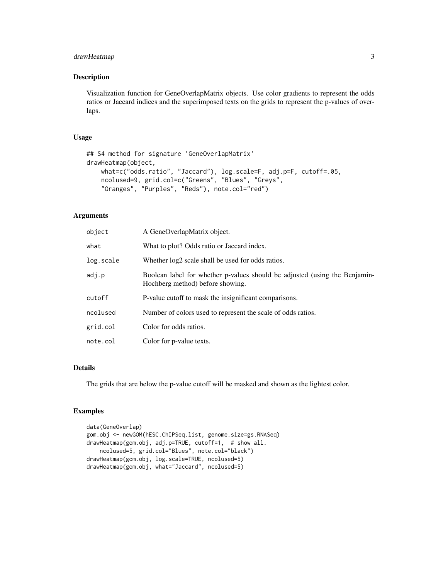# drawHeatmap 3

#### Description

Visualization function for GeneOverlapMatrix objects. Use color gradients to represent the odds ratios or Jaccard indices and the superimposed texts on the grids to represent the p-values of overlaps.

#### Usage

```
## S4 method for signature 'GeneOverlapMatrix'
drawHeatmap(object,
   what=c("odds.ratio", "Jaccard"), log.scale=F, adj.p=F, cutoff=.05,
   ncolused=9, grid.col=c("Greens", "Blues", "Greys",
    "Oranges", "Purples", "Reds"), note.col="red")
```
#### Arguments

| object    | A GeneOverlapMatrix object.                                                                                    |
|-----------|----------------------------------------------------------------------------------------------------------------|
| what      | What to plot? Odds ratio or Jaccard index.                                                                     |
| log.scale | Whether $log2$ scale shall be used for odds ratios.                                                            |
| adj.p     | Boolean label for whether p-values should be adjusted (using the Benjamin-<br>Hochberg method) before showing. |
| cutoff    | P-value cutoff to mask the insignificant comparisons.                                                          |
| ncolused  | Number of colors used to represent the scale of odds ratios.                                                   |
| grid.col  | Color for odds ratios.                                                                                         |
| note.col  | Color for p-value texts.                                                                                       |

# Details

The grids that are below the p-value cutoff will be masked and shown as the lightest color.

```
data(GeneOverlap)
gom.obj <- newGOM(hESC.ChIPSeq.list, genome.size=gs.RNASeq)
drawHeatmap(gom.obj, adj.p=TRUE, cutoff=1, # show all.
    ncolused=5, grid.col="Blues", note.col="black")
drawHeatmap(gom.obj, log.scale=TRUE, ncolused=5)
drawHeatmap(gom.obj, what="Jaccard", ncolused=5)
```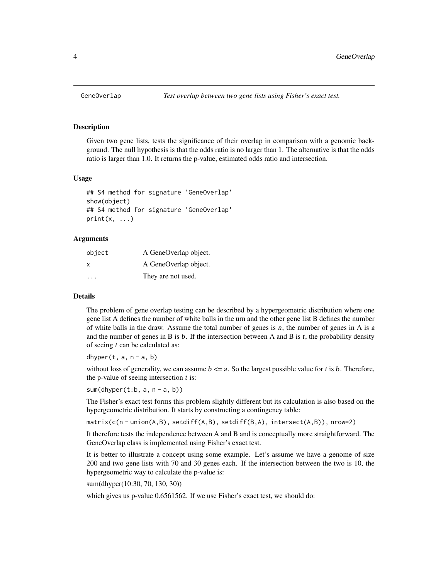Given two gene lists, tests the significance of their overlap in comparison with a genomic background. The null hypothesis is that the odds ratio is no larger than 1. The alternative is that the odds ratio is larger than 1.0. It returns the p-value, estimated odds ratio and intersection.

#### Usage

```
## S4 method for signature 'GeneOverlap'
show(object)
## S4 method for signature 'GeneOverlap'
print(x, \ldots)
```
#### Arguments

| object                  | A GeneOverlap object. |
|-------------------------|-----------------------|
| x                       | A GeneOverlap object. |
| $\cdot$ $\cdot$ $\cdot$ | They are not used.    |

#### Details

The problem of gene overlap testing can be described by a hypergeometric distribution where one gene list A defines the number of white balls in the urn and the other gene list B defines the number of white balls in the draw. Assume the total number of genes is n, the number of genes in A is a and the number of genes in B is  $b$ . If the intersection between A and B is  $t$ , the probability density of seeing  $t$  can be calculated as:

dhyper $(t, a, n - a, b)$ 

without loss of generality, we can assume  $b \le a$ . So the largest possible value for t is b. Therefore, the p-value of seeing intersection  $t$  is:

 $sum(dhyper(t:b, a, n - a, b))$ 

The Fisher's exact test forms this problem slightly different but its calculation is also based on the hypergeometric distribution. It starts by constructing a contingency table:

matrix(c(n - union(A,B), setdiff(A,B), setdiff(B,A), intersect(A,B)), nrow=2)

It therefore tests the independence between A and B and is conceptually more straightforward. The GeneOverlap class is implemented using Fisher's exact test.

It is better to illustrate a concept using some example. Let's assume we have a genome of size 200 and two gene lists with 70 and 30 genes each. If the intersection between the two is 10, the hypergeometric way to calculate the p-value is:

sum(dhyper(10:30, 70, 130, 30))

which gives us p-value 0.6561562. If we use Fisher's exact test, we should do: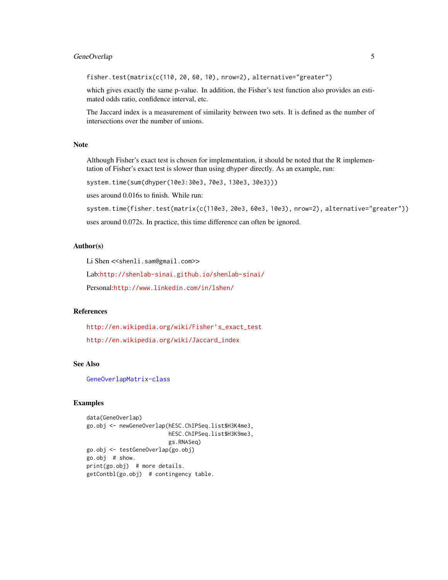# GeneOverlap 5

fisher.test(matrix(c(110, 20, 60, 10), nrow=2), alternative="greater")

which gives exactly the same p-value. In addition, the Fisher's test function also provides an estimated odds ratio, confidence interval, etc.

The Jaccard index is a measurement of similarity between two sets. It is defined as the number of intersections over the number of unions.

### Note

Although Fisher's exact test is chosen for implementation, it should be noted that the R implementation of Fisher's exact test is slower than using dhyper directly. As an example, run:

system.time(sum(dhyper(10e3:30e3, 70e3, 130e3, 30e3)))

uses around 0.016s to finish. While run:

system.time(fisher.test(matrix(c(110e3, 20e3, 60e3, 10e3), nrow=2), alternative="greater"))

uses around 0.072s. In practice, this time difference can often be ignored.

# Author(s)

Li Shen << shenli.sam@gmail.com>>

Lab:<http://shenlab-sinai.github.io/shenlab-sinai/>

Personal:<http://www.linkedin.com/in/lshen/>

# References

[http://en.wikipedia.org/wiki/Fisher's\\_exact\\_test](http://en.wikipedia.org/wiki/Fisher) [http://en.wikipedia.org/wiki/Jaccard\\_index](http://en.wikipedia.org/wiki/Jaccard_index)

#### See Also

[GeneOverlapMatrix-class](#page-5-1)

```
data(GeneOverlap)
go.obj <- newGeneOverlap(hESC.ChIPSeq.list$H3K4me3,
                        hESC.ChIPSeq.list$H3K9me3,
                        gs.RNASeq)
go.obj <- testGeneOverlap(go.obj)
go.obj # show.
print(go.obj) # more details.
getContbl(go.obj) # contingency table.
```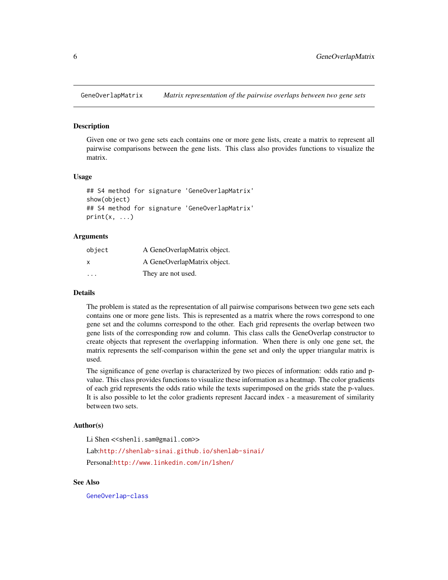<span id="page-5-1"></span><span id="page-5-0"></span>

Given one or two gene sets each contains one or more gene lists, create a matrix to represent all pairwise comparisons between the gene lists. This class also provides functions to visualize the matrix.

#### Usage

```
## S4 method for signature 'GeneOverlapMatrix'
show(object)
## S4 method for signature 'GeneOverlapMatrix'
print(x, \ldots)
```
#### Arguments

| object                  | A GeneOverlapMatrix object. |
|-------------------------|-----------------------------|
| x                       | A GeneOverlapMatrix object. |
| $\cdot$ $\cdot$ $\cdot$ | They are not used.          |

#### Details

The problem is stated as the representation of all pairwise comparisons between two gene sets each contains one or more gene lists. This is represented as a matrix where the rows correspond to one gene set and the columns correspond to the other. Each grid represents the overlap between two gene lists of the corresponding row and column. This class calls the GeneOverlap constructor to create objects that represent the overlapping information. When there is only one gene set, the matrix represents the self-comparison within the gene set and only the upper triangular matrix is used.

The significance of gene overlap is characterized by two pieces of information: odds ratio and pvalue. This class provides functions to visualize these information as a heatmap. The color gradients of each grid represents the odds ratio while the texts superimposed on the grids state the p-values. It is also possible to let the color gradients represent Jaccard index - a measurement of similarity between two sets.

#### Author(s)

Li Shen << shenli.sam@gmail.com>>

Lab:<http://shenlab-sinai.github.io/shenlab-sinai/> Personal:<http://www.linkedin.com/in/lshen/>

### See Also

[GeneOverlap-class](#page-3-1)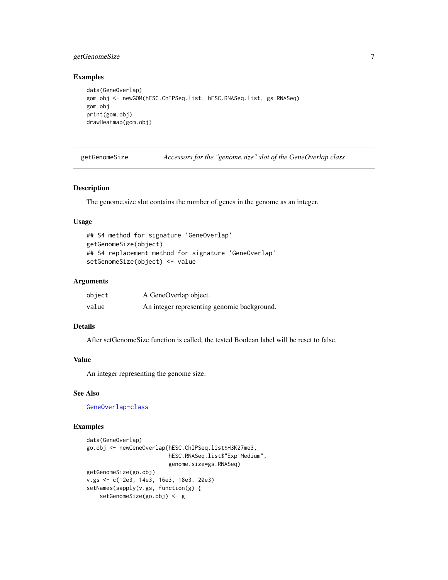# <span id="page-6-0"></span>getGenomeSize 7

# Examples

```
data(GeneOverlap)
gom.obj <- newGOM(hESC.ChIPSeq.list, hESC.RNASeq.list, gs.RNASeq)
gom.obj
print(gom.obj)
drawHeatmap(gom.obj)
```

| getGenomeSize |  |  |  | Accessors for the "genome.size" slot of the GeneOverlap class |  |
|---------------|--|--|--|---------------------------------------------------------------|--|
|---------------|--|--|--|---------------------------------------------------------------|--|

#### Description

The genome.size slot contains the number of genes in the genome as an integer.

# Usage

```
## S4 method for signature 'GeneOverlap'
getGenomeSize(object)
## S4 replacement method for signature 'GeneOverlap'
setGenomeSize(object) <- value
```
# Arguments

| object | A GeneOverlap object.                       |
|--------|---------------------------------------------|
| value  | An integer representing genomic background. |

# Details

After setGenomeSize function is called, the tested Boolean label will be reset to false.

# Value

An integer representing the genome size.

# See Also

[GeneOverlap-class](#page-3-1)

```
data(GeneOverlap)
go.obj <- newGeneOverlap(hESC.ChIPSeq.list$H3K27me3,
                        hESC.RNASeq.list$"Exp Medium",
                        genome.size=gs.RNASeq)
getGenomeSize(go.obj)
v.gs <- c(12e3, 14e3, 16e3, 18e3, 20e3)
setNames(sapply(v.gs, function(g) {
   setGenomeSize(go.obj) <- g
```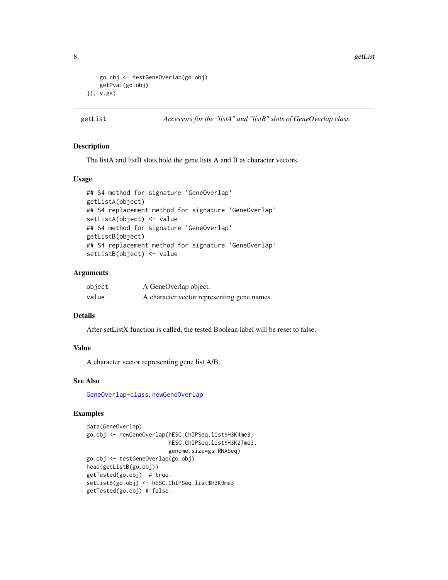<span id="page-7-0"></span>8 getList

```
go.obj <- testGeneOverlap(go.obj)
   getPval(go.obj)
}), v.gs)
```

```
getList Accessors for the "listA" and "listB" slots of GeneOverlap class
```
#### Description

The listA and listB slots hold the gene lists A and B as character vectors.

### Usage

```
## S4 method for signature 'GeneOverlap'
getListA(object)
## S4 replacement method for signature 'GeneOverlap'
setListA(object) <- value
## S4 method for signature 'GeneOverlap'
getListB(object)
## S4 replacement method for signature 'GeneOverlap'
setListB(object) <- value
```
#### Arguments

| object | A GeneOverlap object.                       |
|--------|---------------------------------------------|
| value  | A character vector representing gene names. |

# Details

After setListX function is called, the tested Boolean label will be reset to false.

# Value

A character vector representing gene list A/B.

#### See Also

[GeneOverlap-class](#page-3-1), [newGeneOverlap](#page-12-1)

```
data(GeneOverlap)
go.obj <- newGeneOverlap(hESC.ChIPSeq.list$H3K4me3,
                        hESC.ChIPSeq.list$H3K27me3,
                        genome.size=gs.RNASeq)
go.obj <- testGeneOverlap(go.obj)
head(getListB(go.obj))
getTested(go.obj) # true.
setListB(go.obj) <- hESC.ChIPSeq.list$H3K9me3
getTested(go.obj) # false.
```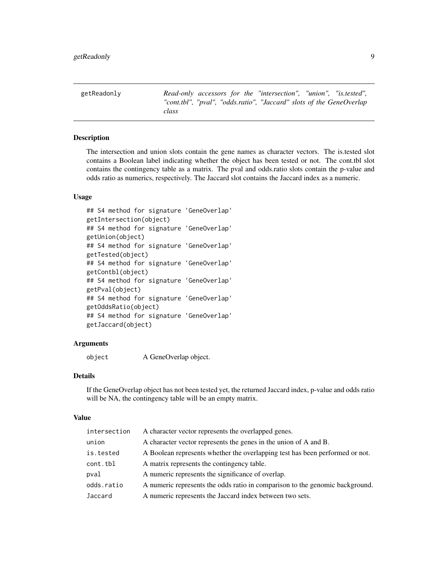<span id="page-8-0"></span>getReadonly *Read-only accessors for the "intersection", "union", "is.tested", "cont.tbl", "pval", "odds.ratio", "Jaccard" slots of the GeneOverlap class*

#### Description

The intersection and union slots contain the gene names as character vectors. The is.tested slot contains a Boolean label indicating whether the object has been tested or not. The cont.tbl slot contains the contingency table as a matrix. The pval and odds.ratio slots contain the p-value and odds ratio as numerics, respectively. The Jaccard slot contains the Jaccard index as a numeric.

#### Usage

```
## S4 method for signature 'GeneOverlap'
getIntersection(object)
## S4 method for signature 'GeneOverlap'
getUnion(object)
## S4 method for signature 'GeneOverlap'
getTested(object)
## S4 method for signature 'GeneOverlap'
getContbl(object)
## S4 method for signature 'GeneOverlap'
getPval(object)
## S4 method for signature 'GeneOverlap'
getOddsRatio(object)
## S4 method for signature 'GeneOverlap'
getJaccard(object)
```
#### Arguments

```
object A GeneOverlap object.
```
# Details

If the GeneOverlap object has not been tested yet, the returned Jaccard index, p-value and odds ratio will be NA, the contingency table will be an empty matrix.

#### Value

| intersection | A character vector represents the overlapped genes.                          |
|--------------|------------------------------------------------------------------------------|
| union        | A character vector represents the genes in the union of A and B.             |
| is.tested    | A Boolean represents whether the overlapping test has been performed or not. |
| cont.tbl     | A matrix represents the contingency table.                                   |
| pval         | A numeric represents the significance of overlap.                            |
| odds.ratio   | A numeric represents the odds ratio in comparison to the genomic background. |
| Jaccard      | A numeric represents the Jaccard index between two sets.                     |
|              |                                                                              |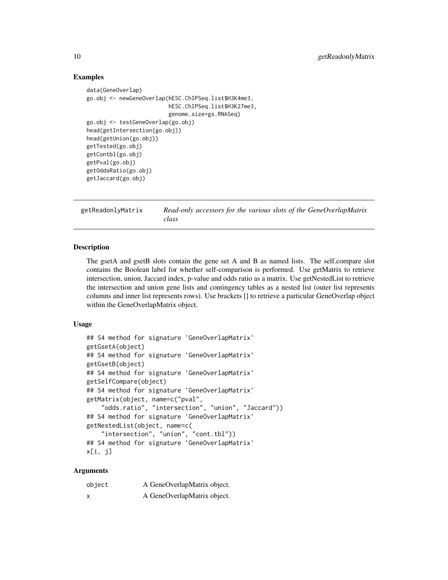#### Examples

```
data(GeneOverlap)
go.obj <- newGeneOverlap(hESC.ChIPSeq.list$H3K4me3,
                         hESC.ChIPSeq.list$H3K27me3,
                         genome.size=gs.RNASeq)
go.obj <- testGeneOverlap(go.obj)
head(getIntersection(go.obj))
head(getUnion(go.obj))
getTested(go.obj)
getContbl(go.obj)
getPval(go.obj)
getOddsRatio(go.obj)
getJaccard(go.obj)
```
getReadonlyMatrix *Read-only accessors for the various slots of the GeneOverlapMatrix class*

#### Description

The gsetA and gsetB slots contain the gene set A and B as named lists. The self.compare slot contains the Boolean label for whether self-comparison is performed. Use getMatrix to retrieve intersection, union, Jaccard index, p-value and odds ratio as a matrix. Use getNestedList to retrieve the intersection and union gene lists and contingency tables as a nested list (outer list represents columns and inner list represents rows). Use brackets [] to retrieve a particular GeneOverlap object within the GeneOverlapMatrix object.

#### Usage

```
## S4 method for signature 'GeneOverlapMatrix'
getGsetA(object)
## S4 method for signature 'GeneOverlapMatrix'
getGsetB(object)
## S4 method for signature 'GeneOverlapMatrix'
getSelfCompare(object)
## S4 method for signature 'GeneOverlapMatrix'
getMatrix(object, name=c("pval",
    "odds.ratio", "intersection", "union", "Jaccard"))
## S4 method for signature 'GeneOverlapMatrix'
getNestedList(object, name=c(
    "intersection", "union", "cont.tbl"))
## S4 method for signature 'GeneOverlapMatrix'
x[i, j]
```
#### Arguments

| object | A GeneOverlapMatrix object. |
|--------|-----------------------------|
| X      | A GeneOverlapMatrix object. |

<span id="page-9-0"></span>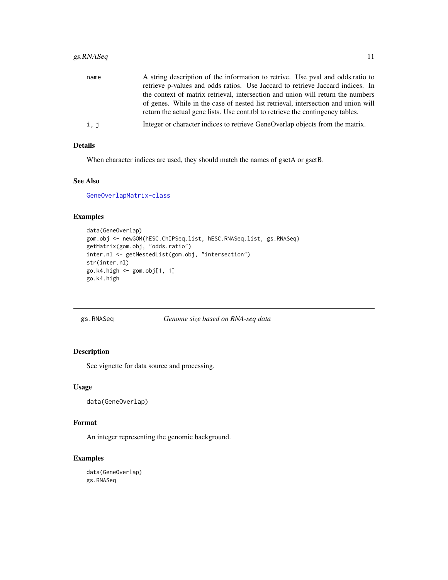# <span id="page-10-0"></span>gs.RNASeq 11

| name | A string description of the information to retrive. Use pval and odds.ratio to<br>retrieve p-values and odds ratios. Use Jaccard to retrieve Jaccard indices. In<br>the context of matrix retrieval, intersection and union will return the numbers<br>of genes. While in the case of nested list retrieval, intersection and union will |
|------|------------------------------------------------------------------------------------------------------------------------------------------------------------------------------------------------------------------------------------------------------------------------------------------------------------------------------------------|
|      | return the actual gene lists. Use control to retrieve the contingency tables.                                                                                                                                                                                                                                                            |
| i, j | Integer or character indices to retrieve GeneOverlap objects from the matrix.                                                                                                                                                                                                                                                            |

# Details

When character indices are used, they should match the names of gsetA or gsetB.

# See Also

[GeneOverlapMatrix-class](#page-5-1)

# Examples

```
data(GeneOverlap)
gom.obj <- newGOM(hESC.ChIPSeq.list, hESC.RNASeq.list, gs.RNASeq)
getMatrix(gom.obj, "odds.ratio")
inter.nl <- getNestedList(gom.obj, "intersection")
str(inter.nl)
go.k4.high <- gom.obj[1, 1]
go.k4.high
```
gs.RNASeq *Genome size based on RNA-seq data*

# Description

See vignette for data source and processing.

#### Usage

```
data(GeneOverlap)
```
# Format

An integer representing the genomic background.

```
data(GeneOverlap)
gs.RNASeq
```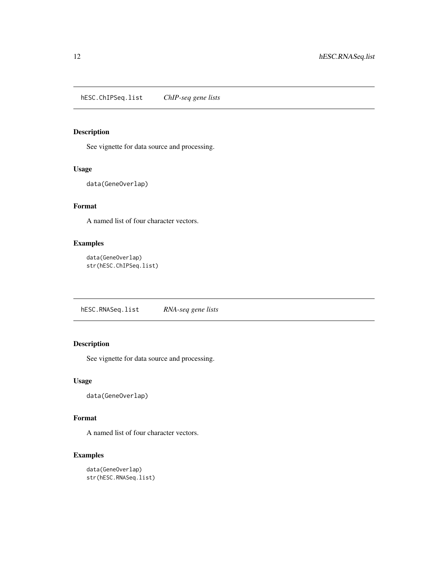<span id="page-11-0"></span>See vignette for data source and processing.

# Usage

```
data(GeneOverlap)
```
# Format

A named list of four character vectors.

# Examples

```
data(GeneOverlap)
str(hESC.ChIPSeq.list)
```
hESC.RNASeq.list *RNA-seq gene lists*

# Description

See vignette for data source and processing.

#### Usage

```
data(GeneOverlap)
```
#### Format

A named list of four character vectors.

```
data(GeneOverlap)
str(hESC.RNASeq.list)
```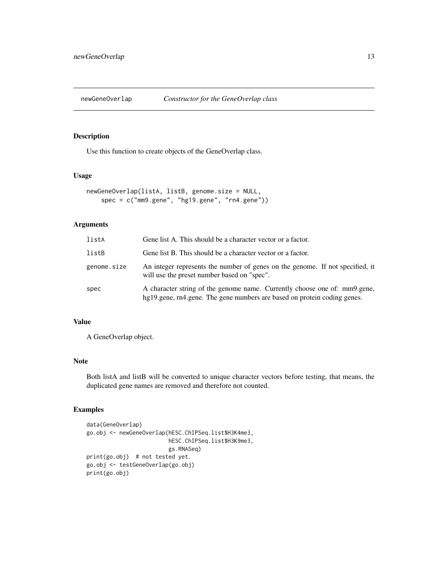<span id="page-12-1"></span><span id="page-12-0"></span>

Use this function to create objects of the GeneOverlap class.

#### Usage

```
newGeneOverlap(listA, listB, genome.size = NULL,
    spec = c("mm9.gene", "hg19.gene", "rn4.gene"))
```
#### Arguments

| listA       | Gene list A. This should be a character vector or a factor.                                                                                           |
|-------------|-------------------------------------------------------------------------------------------------------------------------------------------------------|
| listB       | Gene list B. This should be a character vector or a factor.                                                                                           |
| genome.size | An integer represents the number of genes on the genome. If not specified, it<br>will use the preset number based on "spec".                          |
| spec        | A character string of the genome name. Currently choose one of: mm9.gene,<br>hg19.gene, rn4.gene. The gene numbers are based on protein coding genes. |

# Value

A GeneOverlap object.

# Note

Both listA and listB will be converted to unique character vectors before testing, that means, the duplicated gene names are removed and therefore not counted.

```
data(GeneOverlap)
go.obj <- newGeneOverlap(hESC.ChIPSeq.list$H3K4me3,
                        hESC.ChIPSeq.list$H3K9me3,
                        gs.RNASeq)
print(go.obj) # not tested yet.
go.obj <- testGeneOverlap(go.obj)
print(go.obj)
```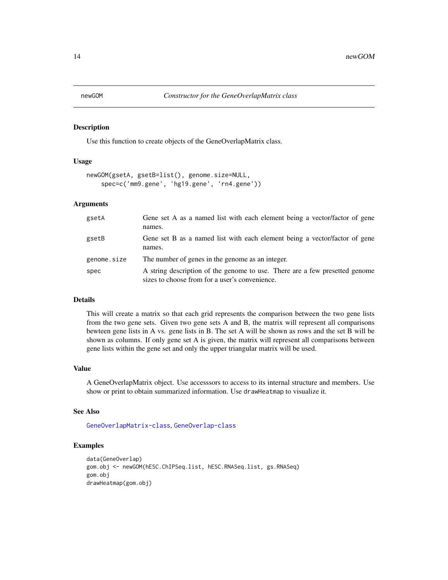<span id="page-13-0"></span>

Use this function to create objects of the GeneOverlapMatrix class.

# Usage

```
newGOM(gsetA, gsetB=list(), genome.size=NULL,
   spec=c('mm9.gene', 'hg19.gene', 'rn4.gene'))
```
#### Arguments

| gsetA       | Gene set A as a named list with each element being a vector/factor of gene<br>names.                                          |
|-------------|-------------------------------------------------------------------------------------------------------------------------------|
| gsetB       | Gene set B as a named list with each element being a vector/factor of gene<br>names.                                          |
| genome.size | The number of genes in the genome as an integer.                                                                              |
| spec        | A string description of the genome to use. There are a few presetted genome<br>sizes to choose from for a user's convenience. |

#### Details

This will create a matrix so that each grid represents the comparison between the two gene lists from the two gene sets. Given two gene sets A and B, the matrix will represent all comparisons bewteen gene lists in A vs. gene lists in B. The set A will be shown as rows and the set B will be shown as columns. If only gene set A is given, the matrix will represent all comparisons between gene lists within the gene set and only the upper triangular matrix will be used.

#### Value

A GeneOverlapMatrix object. Use accesssors to access to its internal structure and members. Use show or print to obtain summarized information. Use drawHeatmap to visualize it.

#### See Also

[GeneOverlapMatrix-class](#page-5-1), [GeneOverlap-class](#page-3-1)

```
data(GeneOverlap)
gom.obj <- newGOM(hESC.ChIPSeq.list, hESC.RNASeq.list, gs.RNASeq)
gom.obj
drawHeatmap(gom.obj)
```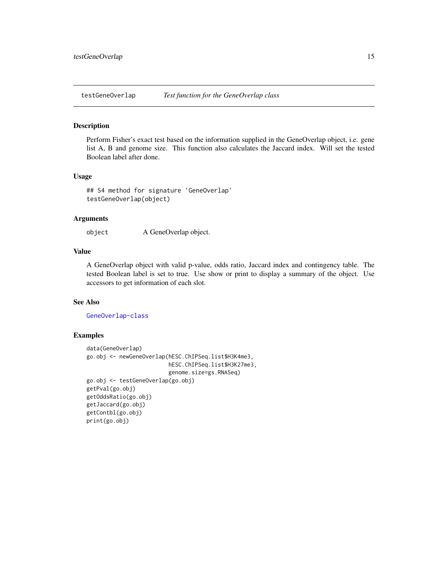<span id="page-14-0"></span>testGeneOverlap *Test function for the GeneOverlap class*

# Description

Perform Fisher's exact test based on the information supplied in the GeneOverlap object, i.e. gene list A, B and genome size. This function also calculates the Jaccard index. Will set the tested Boolean label after done.

#### Usage

## S4 method for signature 'GeneOverlap' testGeneOverlap(object)

#### Arguments

object A GeneOverlap object.

#### Value

A GeneOverlap object with valid p-value, odds ratio, Jaccard index and contingency table. The tested Boolean label is set to true. Use show or print to display a summary of the object. Use accessors to get information of each slot.

# See Also

[GeneOverlap-class](#page-3-1)

```
data(GeneOverlap)
go.obj <- newGeneOverlap(hESC.ChIPSeq.list$H3K4me3,
                         hESC.ChIPSeq.list$H3K27me3,
                         genome.size=gs.RNASeq)
go.obj <- testGeneOverlap(go.obj)
getPval(go.obj)
getOddsRatio(go.obj)
getJaccard(go.obj)
getContbl(go.obj)
print(go.obj)
```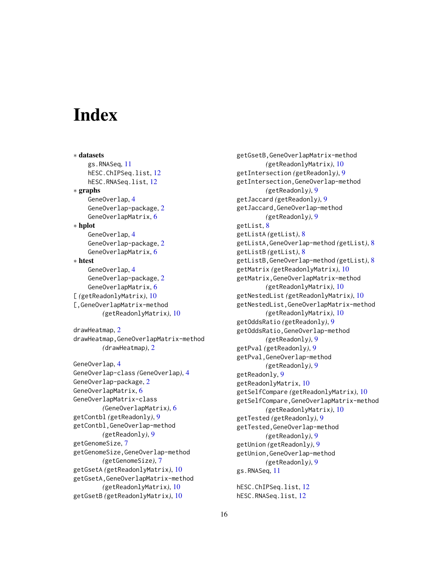# <span id="page-15-0"></span>**Index**

∗ datasets gs.RNASeq, [11](#page-10-0) hESC.ChIPSeq.list, [12](#page-11-0) hESC.RNASeq.list, [12](#page-11-0) ∗ graphs GeneOverlap, [4](#page-3-0) GeneOverlap-package, [2](#page-1-0) GeneOverlapMatrix, [6](#page-5-0) ∗ hplot GeneOverlap, [4](#page-3-0) GeneOverlap-package, [2](#page-1-0) GeneOverlapMatrix, [6](#page-5-0) ∗ htest GeneOverlap, [4](#page-3-0) GeneOverlap-package, [2](#page-1-0) GeneOverlapMatrix, [6](#page-5-0) [ *(*getReadonlyMatrix*)*, [10](#page-9-0) [,GeneOverlapMatrix-method *(*getReadonlyMatrix*)*, [10](#page-9-0) drawHeatmap, [2](#page-1-0) drawHeatmap,GeneOverlapMatrix-method *(*drawHeatmap*)*, [2](#page-1-0) GeneOverlap, [4](#page-3-0) GeneOverlap-class *(*GeneOverlap*)*, [4](#page-3-0) GeneOverlap-package, [2](#page-1-0) GeneOverlapMatrix, [6](#page-5-0) GeneOverlapMatrix-class *(*GeneOverlapMatrix*)*, [6](#page-5-0) getContbl *(*getReadonly*)*, [9](#page-8-0) getContbl,GeneOverlap-method *(*getReadonly*)*, [9](#page-8-0) getGenomeSize, [7](#page-6-0) getGenomeSize,GeneOverlap-method *(*getGenomeSize*)*, [7](#page-6-0) getGsetA *(*getReadonlyMatrix*)*, [10](#page-9-0) getGsetA,GeneOverlapMatrix-method

*(*getReadonlyMatrix*)*, [10](#page-9-0)

getGsetB *(*getReadonlyMatrix*)*, [10](#page-9-0)

getGsetB,GeneOverlapMatrix-method *(*getReadonlyMatrix*)*, [10](#page-9-0) getIntersection *(*getReadonly*)*, [9](#page-8-0) getIntersection,GeneOverlap-method *(*getReadonly*)*, [9](#page-8-0) getJaccard *(*getReadonly*)*, [9](#page-8-0) getJaccard,GeneOverlap-method *(*getReadonly*)*, [9](#page-8-0) getList, [8](#page-7-0) getListA *(*getList*)*, [8](#page-7-0) getListA,GeneOverlap-method *(*getList*)*, [8](#page-7-0) getListB *(*getList*)*, [8](#page-7-0) getListB,GeneOverlap-method *(*getList*)*, [8](#page-7-0) getMatrix *(*getReadonlyMatrix*)*, [10](#page-9-0) getMatrix,GeneOverlapMatrix-method *(*getReadonlyMatrix*)*, [10](#page-9-0) getNestedList *(*getReadonlyMatrix*)*, [10](#page-9-0) getNestedList,GeneOverlapMatrix-method *(*getReadonlyMatrix*)*, [10](#page-9-0) getOddsRatio *(*getReadonly*)*, [9](#page-8-0) getOddsRatio,GeneOverlap-method *(*getReadonly*)*, [9](#page-8-0) getPval *(*getReadonly*)*, [9](#page-8-0) getPval,GeneOverlap-method *(*getReadonly*)*, [9](#page-8-0) getReadonly, [9](#page-8-0) getReadonlyMatrix, [10](#page-9-0) getSelfCompare *(*getReadonlyMatrix*)*, [10](#page-9-0) getSelfCompare,GeneOverlapMatrix-method *(*getReadonlyMatrix*)*, [10](#page-9-0) getTested *(*getReadonly*)*, [9](#page-8-0) getTested,GeneOverlap-method *(*getReadonly*)*, [9](#page-8-0) getUnion *(*getReadonly*)*, [9](#page-8-0) getUnion,GeneOverlap-method *(*getReadonly*)*, [9](#page-8-0) gs.RNASeq, [11](#page-10-0)

hESC.ChIPSeq.list, [12](#page-11-0) hESC.RNASeq.list, [12](#page-11-0)